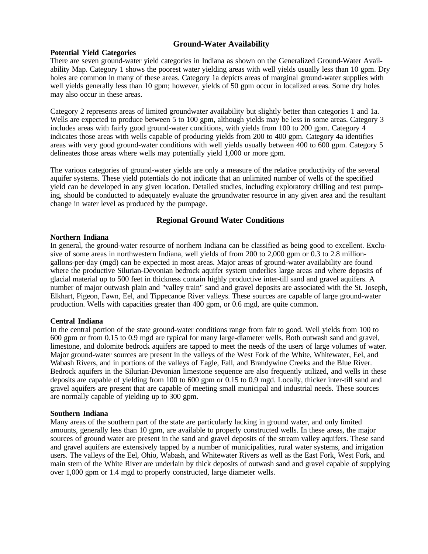## **Ground-Water Availability**

#### **Potential Yield Categories**

There are seven ground-water yield categories in Indiana as shown on the Generalized Ground-Water Availability Map. Category 1 shows the poorest water yielding areas with well yields usually less than 10 gpm. Dry holes are common in many of these areas. Category 1a depicts areas of marginal ground-water supplies with well yields generally less than 10 gpm; however, yields of 50 gpm occur in localized areas. Some dry holes may also occur in these areas.

Category 2 represents areas of limited groundwater availability but slightly better than categories 1 and 1a. Wells are expected to produce between 5 to 100 gpm, although yields may be less in some areas. Category 3 includes areas with fairly good ground-water conditions, with yields from 100 to 200 gpm. Category 4 indicates those areas with wells capable of producing yields from 200 to 400 gpm. Category 4a identifies areas with very good ground-water conditions with well yields usually between 400 to 600 gpm. Category 5 delineates those areas where wells may potentially yield 1,000 or more gpm.

The various categories of ground-water yields are only a measure of the relative productivity of the several aquifer systems. These yield potentials do not indicate that an unlimited number of wells of the specified yield can be developed in any given location. Detailed studies, including exploratory drilling and test pumping, should be conducted to adequately evaluate the groundwater resource in any given area and the resultant change in water level as produced by the pumpage.

## **Regional Ground Water Conditions**

#### **Northern Indiana**

In general, the ground-water resource of northern Indiana can be classified as being good to excellent. Exclusive of some areas in northwestern Indiana, well yields of from 200 to 2,000 gpm or 0.3 to 2.8 milliongallons-per-day (mgd) can be expected in most areas. Major areas of ground-water availability are found where the productive Silurian-Devonian bedrock aquifer system underlies large areas and where deposits of glacial material up to 500 feet in thickness contain highly productive inter-till sand and gravel aquifers. A number of major outwash plain and "valley train" sand and gravel deposits are associated with the St. Joseph, Elkhart, Pigeon, Fawn, Eel, and Tippecanoe River valleys. These sources are capable of large ground-water production. Wells with capacities greater than 400 gpm, or 0.6 mgd, are quite common.

### **Central Indiana**

In the central portion of the state ground-water conditions range from fair to good. Well yields from 100 to 600 gpm or from 0.15 to 0.9 mgd are typical for many large-diameter wells. Both outwash sand and gravel, limestone, and dolomite bedrock aquifers are tapped to meet the needs of the users of large volumes of water. Major ground-water sources are present in the valleys of the West Fork of the White, Whitewater, Eel, and Wabash Rivers, and in portions of the valleys of Eagle, Fall, and Brandywine Creeks and the Blue River. Bedrock aquifers in the Silurian-Devonian limestone sequence are also frequently utilized, and wells in these deposits are capable of yielding from 100 to 600 gpm or 0.15 to 0.9 mgd. Locally, thicker inter-till sand and gravel aquifers are present that are capable of meeting small municipal and industrial needs. These sources are normally capable of yielding up to 300 gpm.

#### **Southern Indiana**

Many areas of the southern part of the state are particularly lacking in ground water, and only limited amounts, generally less than 10 gpm, are available to properly constructed wells. In these areas, the major sources of ground water are present in the sand and gravel deposits of the stream valley aquifers. These sand and gravel aquifers are extensively tapped by a number of municipalities, rural water systems, and irrigation users. The valleys of the Eel, Ohio, Wabash, and Whitewater Rivers as well as the East Fork, West Fork, and main stem of the White River are underlain by thick deposits of outwash sand and gravel capable of supplying over 1,000 gpm or 1.4 mgd to properly constructed, large diameter wells.